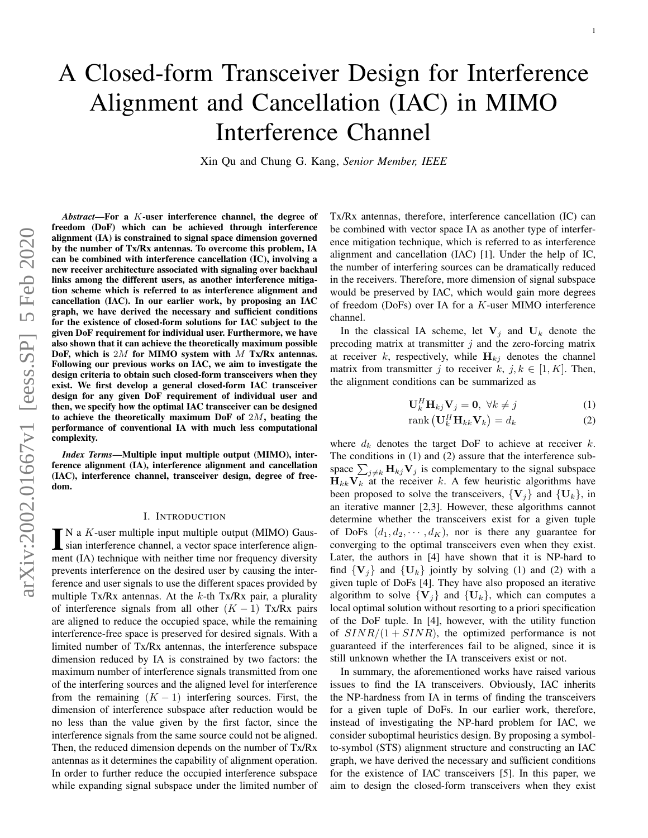# A Closed-form Transceiver Design for Interference Alignment and Cancellation (IAC) in MIMO Interference Channel

Xin Qu and Chung G. Kang, *Senior Member, IEEE*

*Abstract*—For a K-user interference channel, the degree of freedom (DoF) which can be achieved through interference alignment (IA) is constrained to signal space dimension governed by the number of Tx/Rx antennas. To overcome this problem, IA can be combined with interference cancellation (IC), involving a new receiver architecture associated with signaling over backhaul links among the different users, as another interference mitigation scheme which is referred to as interference alignment and cancellation (IAC). In our earlier work, by proposing an IAC graph, we have derived the necessary and sufficient conditions for the existence of closed-form solutions for IAC subject to the given DoF requirement for individual user. Furthermore, we have also shown that it can achieve the theoretically maximum possible DoF, which is  $2M$  for MIMO system with  $M$  Tx/Rx antennas. Following our previous works on IAC, we aim to investigate the design criteria to obtain such closed-form transceivers when they exist. We first develop a general closed-form IAC transceiver design for any given DoF requirement of individual user and then, we specify how the optimal IAC transceiver can be designed to achieve the theoretically maximum DoF of 2M, beating the performance of conventional IA with much less computational complexity.

*Index Terms*—Multiple input multiple output (MIMO), interference alignment (IA), interference alignment and cancellation (IAC), interference channel, transceiver design, degree of freedom.

#### I. INTRODUCTION

 $\blacksquare$  N a *K*-user multiple input multiple output (MIMO) Gaussian interference channel, a vector space interference alignment (IA) technique with neither time nor frequency diversity  $NN$  a  $K$ -user multiple input multiple output (MIMO) Gaussian interference channel, a vector space interference alignprevents interference on the desired user by causing the interference and user signals to use the different spaces provided by multiple Tx/Rx antennas. At the  $k$ -th Tx/Rx pair, a plurality of interference signals from all other  $(K - 1)$  Tx/Rx pairs are aligned to reduce the occupied space, while the remaining interference-free space is preserved for desired signals. With a limited number of Tx/Rx antennas, the interference subspace dimension reduced by IA is constrained by two factors: the maximum number of interference signals transmitted from one of the interfering sources and the aligned level for interference from the remaining  $(K - 1)$  interfering sources. First, the dimension of interference subspace after reduction would be no less than the value given by the first factor, since the interference signals from the same source could not be aligned. Then, the reduced dimension depends on the number of Tx/Rx antennas as it determines the capability of alignment operation. In order to further reduce the occupied interference subspace while expanding signal subspace under the limited number of Tx/Rx antennas, therefore, interference cancellation (IC) can be combined with vector space IA as another type of interference mitigation technique, which is referred to as interference alignment and cancellation (IAC) [1]. Under the help of IC, the number of interfering sources can be dramatically reduced in the receivers. Therefore, more dimension of signal subspace would be preserved by IAC, which would gain more degrees of freedom (DoFs) over IA for a K-user MIMO interference channel.

In the classical IA scheme, let  $V_j$  and  $U_k$  denote the precoding matrix at transmitter  $j$  and the zero-forcing matrix at receiver k, respectively, while  $H_{ki}$  denotes the channel matrix from transmitter j to receiver k,  $j, k \in [1, K]$ . Then, the alignment conditions can be summarized as

$$
\mathbf{U}_{k}^{H}\mathbf{H}_{kj}\mathbf{V}_{j}=\mathbf{0},\ \forall k\neq j\tag{1}
$$

$$
rank\left(\mathbf{U}_{k}^{H}\mathbf{H}_{kk}\mathbf{V}_{k}\right)=d_{k}\tag{2}
$$

where  $d_k$  denotes the target DoF to achieve at receiver k. The conditions in (1) and (2) assure that the interference subspace  $\sum_{j \neq k} \mathbf{H}_{kj} \mathbf{V}_j$  is complementary to the signal subspace  $H_{kk}V_k$  at the receiver k. A few heuristic algorithms have been proposed to solve the transceivers,  ${V_j}$  and  ${U_k}$ , in an iterative manner [2,3]. However, these algorithms cannot determine whether the transceivers exist for a given tuple of DoFs  $(d_1, d_2, \dots, d_K)$ , nor is there any guarantee for converging to the optimal transceivers even when they exist. Later, the authors in [4] have shown that it is NP-hard to find  $\{V_j\}$  and  $\{U_k\}$  jointly by solving (1) and (2) with a given tuple of DoFs [4]. They have also proposed an iterative algorithm to solve  ${V_i}$  and  ${U_k}$ , which can computes a local optimal solution without resorting to a priori specification of the DoF tuple. In [4], however, with the utility function of  $SINR/(1+SINR)$ , the optimized performance is not guaranteed if the interferences fail to be aligned, since it is still unknown whether the IA transceivers exist or not.

In summary, the aforementioned works have raised various issues to find the IA transceivers. Obviously, IAC inherits the NP-hardness from IA in terms of finding the transceivers for a given tuple of DoFs. In our earlier work, therefore, instead of investigating the NP-hard problem for IAC, we consider suboptimal heuristics design. By proposing a symbolto-symbol (STS) alignment structure and constructing an IAC graph, we have derived the necessary and sufficient conditions for the existence of IAC transceivers [5]. In this paper, we aim to design the closed-form transceivers when they exist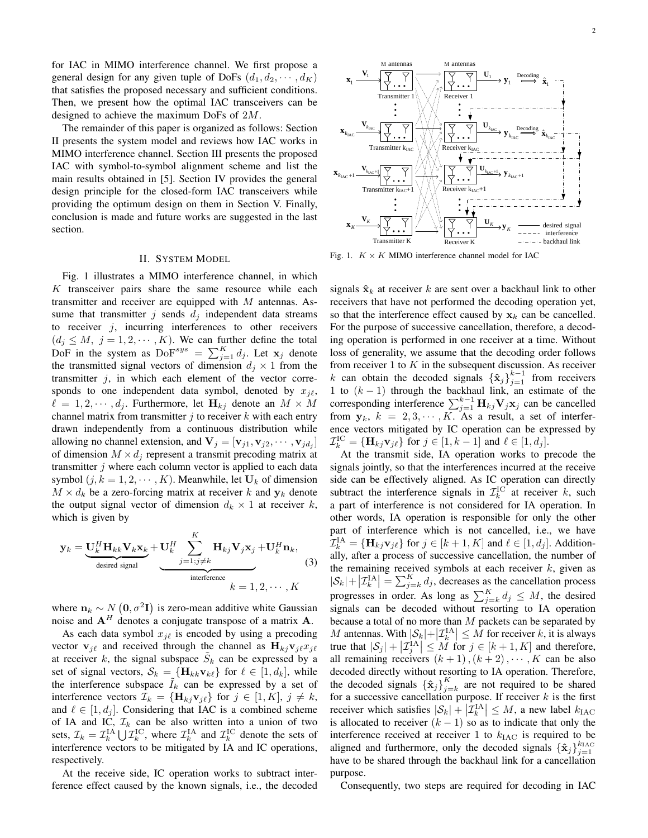for IAC in MIMO interference channel. We first propose a general design for any given tuple of DoFs  $(d_1, d_2, \dots, d_K)$ that satisfies the proposed necessary and sufficient conditions. Then, we present how the optimal IAC transceivers can be designed to achieve the maximum DoFs of 2M.

The remainder of this paper is organized as follows: Section II presents the system model and reviews how IAC works in MIMO interference channel. Section III presents the proposed IAC with symbol-to-symbol alignment scheme and list the main results obtained in [5]. Section IV provides the general design principle for the closed-form IAC transceivers while providing the optimum design on them in Section V. Finally, conclusion is made and future works are suggested in the last section.

#### II. SYSTEM MODEL

Fig. 1 illustrates a MIMO interference channel, in which  $K$  transceiver pairs share the same resource while each transmitter and receiver are equipped with M antennas. Assume that transmitter j sends  $d_i$  independent data streams to receiver  $j$ , incurring interferences to other receivers  $(d_j \leq M, j = 1, 2, \dots, K)$ . We can further define the total DoF in the system as  $\text{DoF}^{sys} = \sum_{j=1}^{K} d_j$ . Let  $\mathbf{x}_j$  denote the transmitted signal vectors of dimension  $d_i \times 1$  from the transmitter  $j$ , in which each element of the vector corresponds to one independent data symbol, denoted by  $x_{i\ell}$ ,  $\ell = 1, 2, \cdots, d_i$ . Furthermore, let  $H_{ki}$  denote an  $M \times M$ channel matrix from transmitter  $j$  to receiver  $k$  with each entry drawn independently from a continuous distribution while allowing no channel extension, and  $\mathbf{V}_j = [\mathbf{v}_{j1}, \mathbf{v}_{j2}, \cdots, \mathbf{v}_{jd_j}]$ of dimension  $M \times d_i$  represent a transmit precoding matrix at transmitter  $j$  where each column vector is applied to each data symbol  $(j, k = 1, 2, \dots, K)$ . Meanwhile, let  $U_k$  of dimension  $M \times d_k$  be a zero-forcing matrix at receiver k and  $y_k$  denote the output signal vector of dimension  $d_k \times 1$  at receiver k, which is given by

$$
\mathbf{y}_{k} = \underbrace{\mathbf{U}_{k}^{H} \mathbf{H}_{kk} \mathbf{V}_{k} \mathbf{x}_{k}}_{\text{desired signal}} + \underbrace{\mathbf{U}_{k}^{H} \sum_{j=1; j \neq k}^{K} \mathbf{H}_{kj} \mathbf{V}_{j} \mathbf{x}_{j}}_{\text{interference}} + \underbrace{\mathbf{U}_{k}^{H} \mathbf{n}_{k}}_{k} , \tag{3}
$$

where  $n_k \sim N(0, \sigma^2 I)$  is zero-mean additive white Gaussian noise and  $A<sup>H</sup>$  denotes a conjugate transpose of a matrix  $A$ .

As each data symbol  $x_{j\ell}$  is encoded by using a precoding vector  $\mathbf{v}_{i\ell}$  and received through the channel as  $\mathbf{H}_{ki}\mathbf{v}_{i\ell}x_{i\ell}$ at receiver k, the signal subspace  $\tilde{S}_k$  can be expressed by a set of signal vectors,  $S_k = {\bf{H}_{kk}v_{k\ell}}$  for  $\ell \in [1, d_k]$ , while the interference subspace  $I_k$  can be expressed by a set of interference vectors  $\mathcal{I}_k = \{ \mathbf{H}_{kj} \mathbf{v}_{j\ell} \}$  for  $j \in [1, K], j \neq k$ , and  $\ell \in [1, d_j]$ . Considering that IAC is a combined scheme of IA and IC,  $\mathcal{I}_k$  can be also written into a union of two sets,  $\mathcal{I}_k = \mathcal{I}_k^{\text{IA}} \bigcup \mathcal{I}_k^{\text{IC}}$ , where  $\mathcal{I}_k^{\text{IA}}$  and  $\mathcal{I}_k^{\text{IC}}$  denote the sets of interference vectors to be mitigated by IA and IC operations, respectively.

At the receive side, IC operation works to subtract interference effect caused by the known signals, i.e., the decoded



Fig. 1.  $K \times K$  MIMO interference channel model for IAC

signals  $\hat{\mathbf{x}}_k$  at receiver k are sent over a backhaul link to other receivers that have not performed the decoding operation yet, so that the interference effect caused by  $x_k$  can be cancelled. For the purpose of successive cancellation, therefore, a decoding operation is performed in one receiver at a time. Without loss of generality, we assume that the decoding order follows from receiver 1 to  $K$  in the subsequent discussion. As receiver k can obtain the decoded signals  $\{\hat{\mathbf{x}}_j\}_{j=1}^{k-1}$  from receivers 1 to  $(k - 1)$  through the backhaul link, an estimate of the corresponding interference  $\sum_{j=1}^{k-1} \mathbf{H}_{kj} \mathbf{V}_j \mathbf{x}_j$  can be cancelled from  $y_k$ ,  $k = 2, 3, \dots, K$ . As a result, a set of interference vectors mitigated by IC operation can be expressed by  $\mathcal{I}_k^{\text{IC}} = {\{\mathbf{H}_{kj} \mathbf{v}_{j\ell}\}}$  for  $j \in [1, k-1]$  and  $\ell \in [1, d_j]$ .

At the transmit side, IA operation works to precode the signals jointly, so that the interferences incurred at the receive side can be effectively aligned. As IC operation can directly subtract the interference signals in  $\mathcal{I}_k^{\text{IC}}$  at receiver k, such a part of interference is not considered for IA operation. In other words, IA operation is responsible for only the other part of interference which is not cancelled, i.e., we have  $\mathcal{I}_k^{\text{IA}} = \{ \mathbf{H}_{kj} \mathbf{v}_{j\ell} \}$  for  $j \in [k+1, K]$  and  $\ell \in [1, d_j]$ . Additionally, after a process of successive cancellation, the number of the remaining received symbols at each receiver  $k$ , given as  $|\mathcal{S}_k| + |\mathcal{I}_k^{\text{IA}}| = \sum_{j=k}^K d_j$ , decreases as the cancellation process progresses in order. As long as  $\sum_{j=k}^{K} d_j \leq M$ , the desired signals can be decoded without resorting to IA operation because a total of no more than  $M$  packets can be separated by M antennas. With  $|S_k| + |Z_k^{IA}| \leq M$  for receiver k, it is always true that  $|\mathcal{S}_j| + |\mathcal{I}_j^{\text{IA}}| \leq M$  for  $j \in [k+1, K]$  and therefore, all remaining receivers  $(k + 1)$ ,  $(k + 2)$ ,  $\dots$ , K can be also decoded directly without resorting to IA operation. Therefore, the decoded signals  $\{\hat{\mathbf{x}}_j\}_{j=1}^K$  $\sum_{j=k}^{K}$  are not required to be shared for a successive cancellation purpose. If receiver  $k$  is the first receiver which satisfies  $|\mathcal{S}_k| + |\mathcal{I}_k^{\text{IA}}| \leq M$ , a new label  $k_{\text{IAC}}$ is allocated to receiver  $(k - 1)$  so as to indicate that only the interference received at receiver 1 to  $k_{\text{IAC}}$  is required to be aligned and furthermore, only the decoded signals  $\{\hat{\mathbf{x}}_j\}_{j=1}^{k_{\text{IAC}}}$ have to be shared through the backhaul link for a cancellation purpose.

Consequently, two steps are required for decoding in IAC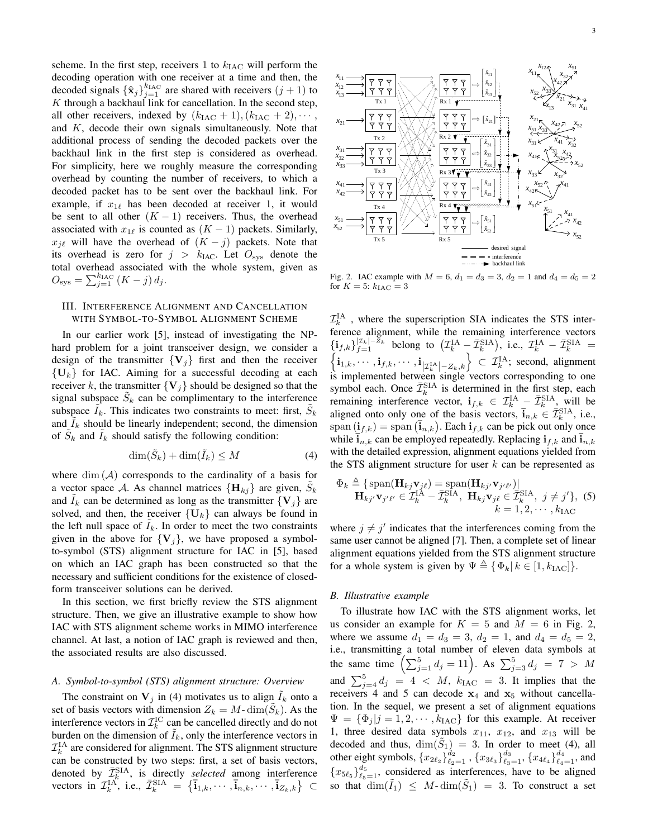scheme. In the first step, receivers 1 to  $k_{\text{IAC}}$  will perform the decoding operation with one receiver at a time and then, the decoded signals  $\{\hat{\mathbf{x}}_j\}_{j=1}^{k_{\text{IAC}}}$  are shared with receivers  $(j+1)$  to  $K$  through a backhaul link for cancellation. In the second step, all other receivers, indexed by  $(k_{\text{IAC}} + 1), (k_{\text{IAC}} + 2), \cdots$ , and  $K$ , decode their own signals simultaneously. Note that additional process of sending the decoded packets over the backhaul link in the first step is considered as overhead. For simplicity, here we roughly measure the corresponding overhead by counting the number of receivers, to which a decoded packet has to be sent over the backhaul link. For example, if  $x_{1\ell}$  has been decoded at receiver 1, it would be sent to all other  $(K - 1)$  receivers. Thus, the overhead associated with  $x_{1\ell}$  is counted as  $(K - 1)$  packets. Similarly,  $x_{j\ell}$  will have the overhead of  $(K - j)$  packets. Note that its overhead is zero for  $j > k_{\text{IAC}}$ . Let  $O_{\text{sys}}$  denote the total overhead associated with the whole system, given as  $O_{\text{sys}} = \sum_{j=1}^{k_{\text{IAC}}}(K-j) d_j.$ 

## III. INTERFERENCE ALIGNMENT AND CANCELLATION WITH SYMBOL-TO-SYMBOL ALIGNMENT SCHEME

In our earlier work [5], instead of investigating the NPhard problem for a joint transceiver design, we consider a design of the transmitter  ${V_i}$  first and then the receiver  ${U_k}$  for IAC. Aiming for a successful decoding at each receiver k, the transmitter  ${V<sub>j</sub>}$  should be designed so that the signal subspace  $\tilde{S}_k$  can be complimentary to the interference subspace  $\tilde{I}_k$ . This indicates two constraints to meet: first,  $\tilde{S}_k$ and  $I_k$  should be linearly independent; second, the dimension of  $\tilde{S}_k$  and  $\tilde{I}_k$  should satisfy the following condition:

$$
\dim(\tilde{S}_k) + \dim(\tilde{I}_k) \le M \tag{4}
$$

where  $\dim(A)$  corresponds to the cardinality of a basis for a vector space A. As channel matrices  $\{H_{kj}\}$  are given,  $\tilde{S}_k$ and  $I_k$  can be determined as long as the transmitter  ${V_i}$  are solved, and then, the receiver  ${U_k}$  can always be found in the left null space of  $I_k$ . In order to meet the two constraints given in the above for  ${V<sub>j</sub>}$ , we have proposed a symbolto-symbol (STS) alignment structure for IAC in [5], based on which an IAC graph has been constructed so that the necessary and sufficient conditions for the existence of closedform transceiver solutions can be derived.

In this section, we first briefly review the STS alignment structure. Then, we give an illustrative example to show how IAC with STS alignment scheme works in MIMO interference channel. At last, a notion of IAC graph is reviewed and then, the associated results are also discussed.

## *A. Symbol-to-symbol (STS) alignment structure: Overview*

The constraint on  $V_j$  in (4) motivates us to align  $\tilde{I}_k$  onto a set of basis vectors with dimension  $Z_k = M$ -  $\dim(\tilde{S}_k)$ . As the interference vectors in  $\mathcal{I}_k^{\text{IC}}$  can be cancelled directly and do not burden on the dimension of  $I_k$ , only the interference vectors in  $\mathcal{I}_k^{\text{IA}}$  are considered for alignment. The STS alignment structure can be constructed by two steps: first, a set of basis vectors, denoted by  $\bar{\mathcal{I}}_k^{\text{SIA}}$ , is directly *selected* among interference vectors in  $\mathcal{I}_k^{\text{IA}^{\text{A}}}$ , i.e.,  $\bar{\mathcal{I}}_k^{\text{SIA}} = \{\bar{\mathbf{i}}_{1,k}, \cdots, \bar{\mathbf{i}}_{n,k}, \cdots, \bar{\mathbf{i}}_{Z_k,k}\}\subset$ 



Fig. 2. IAC example with  $M = 6$ ,  $d_1 = d_3 = 3$ ,  $d_2 = 1$  and  $d_4 = d_5 = 2$ for  $K = 5: k_{IAC} = 3$ 

 $\mathcal{I}_k^{\text{IA}}$  , where the superscription SIA indicates the STS interference alignment, while the remaining interference vectors  $\{\mathbf{i}_{f,k}\}_{f=1}^{|\mathcal{I}_k|-\mathcal{I}_k}$  belong to  $(\mathcal{I}_k^{\text{IA}}-\bar{\mathcal{I}}_k^{\text{SIA}})$ , i.e.,  $\mathcal{I}_k^{\text{IA}}-\bar{\mathcal{I}}_k^{\text{SIA}} =$ <br> $\{\mathbf{i}_1, \ldots, \mathbf{i}_k, \ldots, \mathbf{i}_{k-1}\} \subset \mathcal{I}_k^{\text{IA}}$ , second alignment  $\mathbf{i}_{1,k}, \cdots, \mathbf{i}_{f,k}, \cdots, \mathbf{i}_{|\mathcal{I}_{k}^{\text{IA}}|-Z_{k},k} \Big\} \subset \mathcal{I}_{k}^{\text{IA}};$  second, alignment is implemented between single vectors corresponding to one symbol each. Once  $\bar{\mathcal{I}}_k^{\text{SIA}}$  is determined in the first step, each remaining interference vector,  $\mathbf{i}_{f,k} \in \mathcal{I}_{k}^{\text{IA}} - \bar{\mathcal{I}}_{k}^{\text{SIA}}$ , will be aligned onto only one of the basis vectors,  $\overline{i}_{n,k} \in \overline{\mathcal{I}}_k^{\text{SIA}}$ , i.e., span  $(i_{f,k})$  = span  $(\mathbf{I}_{n,k})$ . Each  $\mathbf{i}_{f,k}$  can be pick out only once while  $\overline{i}_{n,k}$  can be employed repeatedly. Replacing  $\overline{i}_{f,k}$  and  $\overline{i}_{n,k}$ with the detailed expression, alignment equations yielded from the STS alignment structure for user  $k$  can be represented as

$$
\Phi_k \triangleq \{ \text{span}(\mathbf{H}_{kj}\mathbf{v}_{j\ell}) = \text{span}(\mathbf{H}_{kj'}\mathbf{v}_{j'\ell'}) | \mathbf{H}_{kj'}\mathbf{v}_{j'\ell'} \in \mathcal{I}_k^{\text{IA}} - \bar{\mathcal{I}}_k^{\text{SIA}}, \ \mathbf{H}_{kj}\mathbf{v}_{j\ell} \in \bar{\mathcal{I}}_k^{\text{SIA}}, \ j \neq j' \}, \ (5) \nk = 1, 2, \cdots, k_{\text{IAC}}
$$

where  $j \neq j'$  indicates that the interferences coming from the same user cannot be aligned [7]. Then, a complete set of linear alignment equations yielded from the STS alignment structure for a whole system is given by  $\Psi \triangleq {\Phi_k | k \in [1, k_{\text{IAC}}]}.$ 

#### *B. Illustrative example*

To illustrate how IAC with the STS alignment works, let us consider an example for  $K = 5$  and  $M = 6$  in Fig. 2, where we assume  $d_1 = d_3 = 3$ ,  $d_2 = 1$ , and  $d_4 = d_5 = 2$ , i.e., transmitting a total number of eleven data symbols at the same time  $(\sum_{j=1}^{5} d_j = 11)$ . As  $\sum_{j=3}^{5} d_j = 7 > M$ and  $\sum_{j=4}^{5} d_j = 4 < M$ ,  $k_{\text{IAC}} = 3$ . It implies that the receivers 4 and 5 can decode  $x_4$  and  $x_5$  without cancellation. In the sequel, we present a set of alignment equations  $\Psi = {\Phi_i | j = 1, 2, \cdots, k_{IAC}}$  for this example. At receiver 1, three desired data symbols  $x_{11}$ ,  $x_{12}$ , and  $x_{13}$  will be decoded and thus,  $\dim(\tilde{S}_1) = 3$ . In order to meet (4), all other eight symbols,  $\{x_{2\ell_2}\}_{\ell_2=1}^{d_2}$  ,  $\{x_{3\ell_3}\}_{\ell_3=1}^{d_3}$ ,  $\{x_{4\ell_4}\}_{\ell_4=1}^{d_4}$ , and  ${x_{5\ell_5}}_{\ell_5=1}^{d_5}$ , considered as interferences, have to be aligned so that  $\dim(\tilde{I}_1) \leq M$ - $\dim(\tilde{S}_1) = 3$ . To construct a set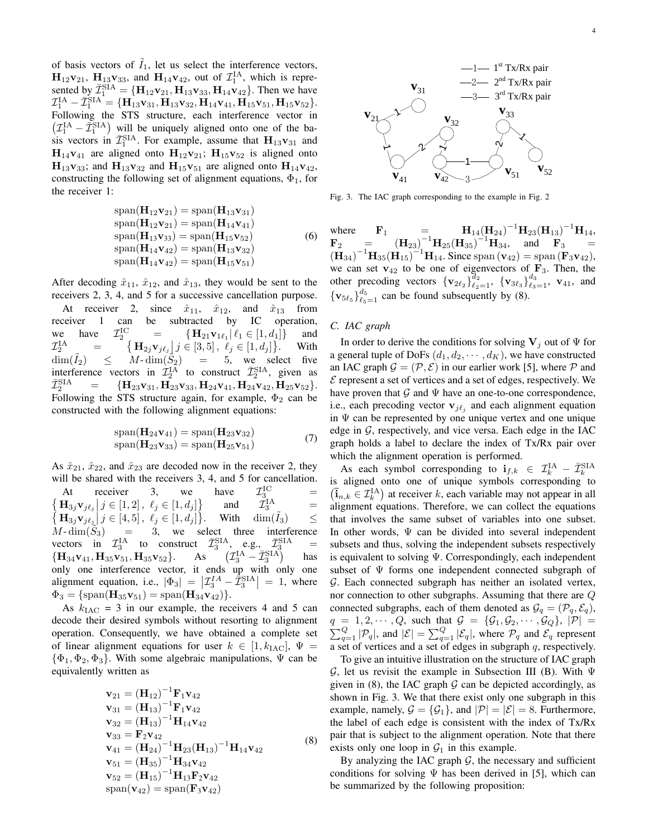of basis vectors of  $I_1$ , let us select the interference vectors,  $H_{12}v_{21}$ ,  $H_{13}v_{33}$ , and  $H_{14}v_{42}$ , out of  $\mathcal{I}_1^{\text{IA}}$ , which is represented by  $\bar{\mathcal{I}}_1^{\text{SIA}} = {\mathbf{H}_{12} \mathbf{v}_{21}, \mathbf{H}_{13} \mathbf{v}_{33}, \mathbf{H}_{14} \mathbf{v}_{42}}$ . Then we have  $\mathcal{I}_1^{\text{IA}} - \bar{\mathcal{I}}_1^{\text{SIA}} = \{ \mathbf{H}_{13} \mathbf{v}_{31}, \mathbf{H}_{13} \mathbf{v}_{32}, \mathbf{H}_{14} \mathbf{v}_{41}, \mathbf{H}_{15} \mathbf{v}_{51}, \mathbf{H}_{15} \mathbf{v}_{52} \}.$ Following the STS structure, each interference vector in  $(\mathcal{I}_1^{\text{IA}} - \bar{\mathcal{I}}_1^{\text{SIA}})$  will be uniquely aligned onto one of the basis vectors in  $\bar{\mathcal{I}}_1^{\text{SIA}}$ . For example, assume that  $\mathbf{H}_{13}\mathbf{v}_{31}$  and  $H_{14}v_{41}$  are aligned onto  $H_{12}v_{21}$ ;  $H_{15}v_{52}$  is aligned onto  $H_{13}v_{33}$ ; and  $H_{13}v_{32}$  and  $H_{15}v_{51}$  are aligned onto  $H_{14}v_{42}$ , constructing the following set of alignment equations,  $\Phi_1$ , for the receiver 1:

span(
$$
\mathbf{H}_{12}\mathbf{v}_{21}
$$
) = span( $\mathbf{H}_{13}\mathbf{v}_{31}$ )  
\nspan( $\mathbf{H}_{12}\mathbf{v}_{21}$ ) = span( $\mathbf{H}_{14}\mathbf{v}_{41}$ )  
\nspan( $\mathbf{H}_{13}\mathbf{v}_{33}$ ) = span( $\mathbf{H}_{15}\mathbf{v}_{52}$ )  
\nspan( $\mathbf{H}_{14}\mathbf{v}_{42}$ ) = span( $\mathbf{H}_{13}\mathbf{v}_{32}$ )  
\nspan( $\mathbf{H}_{14}\mathbf{v}_{42}$ ) = span( $\mathbf{H}_{15}\mathbf{v}_{51}$ )

After decoding  $\hat{x}_{11}$ ,  $\hat{x}_{12}$ , and  $\hat{x}_{13}$ , they would be sent to the receivers 2, 3, 4, and 5 for a successive cancellation purpose.

At receiver 2, since  $\hat{x}_{11}$ ,  $\hat{x}_{12}$ , and  $\hat{x}_{13}$  from receiver 1 can be subtracted by IC operation, we have  $\mathcal{I}_2^{\mathrm{IC}}$  $\mathbf{H}_{21}\mathbf{v}_{1\ell_1} \,|\, \ell_1 \in [1, d_1] \}$  and  ${\cal I}^{\rm IA}_2$  =  $\left\{\mathbf{H}_{2j}\mathbf{v}_{j\ell_{j}}\right\} j\in[3,5], \ell_{j}\in[1,d_{j}]\right\}$ . With  $\dim(\tilde{I}_2) \leq M \cdot \dim(\tilde{S}_2) = 5$ , we select five interference vectors in  $\mathcal{I}_2^{IA}$  to construct  $\bar{\mathcal{I}}_2^{SIA}$ , given as  $\bar{\mathcal{I}}_{2}^{\text{SIA}}$  $= \{H_{23}\mathbf{v}_{31}, H_{23}\mathbf{v}_{33}, H_{24}\mathbf{v}_{41}, H_{24}\mathbf{v}_{42}, H_{25}\mathbf{v}_{52}\}.$ Following the STS structure again, for example,  $\Phi_2$  can be constructed with the following alignment equations:

$$
\text{span}(\mathbf{H}_{24}\mathbf{v}_{41}) = \text{span}(\mathbf{H}_{23}\mathbf{v}_{32})
$$
  
\n
$$
\text{span}(\mathbf{H}_{23}\mathbf{v}_{33}) = \text{span}(\mathbf{H}_{25}\mathbf{v}_{51})
$$
\n(7)

As  $\hat{x}_{21}$ ,  $\hat{x}_{22}$ , and  $\hat{x}_{23}$  are decoded now in the receiver 2, they will be shared with the receivers 3, 4, and 5 for cancellation.

At receiver 3, we have  $\mathcal{T}_{\alpha}^{\text{IC}}$ At receiver 3, we have  $\mathcal{I}_3^{\text{IC}} = \left\{ \mathbf{H}_{3j} \mathbf{v}_{j\ell_j} \middle| j \in [1, 2], \ell_j \in [1, d_j] \right\}$  and  $\mathcal{I}_3^{\text{IA}} = \left\{ \begin{array}{ll} 1 & \text{if } j \in [1, d_j], \\ \text{if } j \in [1, d_j], \ell_j = 1 \end{array} \right\}$ and  $\tilde{\mathcal{I}}_{3}^{\text{IA}}$  $\left\{\mathbf{H}_{3j}\mathbf{v}_{j\ell_{j}}\middle|\ j\in[1,2],\ \ell_{j}\in[1,d_{j}]\right\}$  and  $\mathcal{I}_{3}^{\text{IA}}$  =  $\left\{\mathbf{H}_{3j}\mathbf{v}_{j\ell_{j}}\middle|\ j\in[4,5],\ \ell_{j}\in[1,d_{j}]\right\}$ . With  $\dim(\tilde{I}_{3}) \leq$  $\dim(I_3) \quad \leq$  $M-\dim(\widetilde{S}_3)$  = 3, we select three interference vectors in  $\mathcal{I}_3^{\text{IA}}$  to construct  $\bar{\mathcal{I}}_3^{\text{SIA}}$ , e.g.,  $\bar{\mathcal{I}}_3^{\text{SIA}}$  =  ${H_{34}}\mathbf{v}_{41}, \mathbf{H}_{35}\mathbf{v}_{51}, \mathbf{H}_{35}\mathbf{v}_{52}.$  As  $\mathcal{I}^{\text{IA}}_3-\bar{\mathcal{I}}^{\text{SIA}}_3)$ has only one interference vector, it ends up with only one alignment equation, i.e.,  $|\Phi_3| = |Z_3^{IA} - \hat{\bar{Z}}_3^{\text{SIA}}| = 1$ , where  $\Phi_3 = {\text{span}(\mathbf{H}_{35}\mathbf{v}_{51}) = \text{span}(\mathbf{H}_{34}\mathbf{v}_{42})}.$ 

As  $k_{\text{IAC}} = 3$  in our example, the receivers 4 and 5 can decode their desired symbols without resorting to alignment operation. Consequently, we have obtained a complete set of linear alignment equations for user  $k \in [1, k_{\text{IAC}}], \Psi =$  $\{\Phi_1, \Phi_2, \Phi_3\}$ . With some algebraic manipulations,  $\Psi$  can be equivalently written as

$$
\mathbf{v}_{21} = (\mathbf{H}_{12})^{-1} \mathbf{F}_1 \mathbf{v}_{42} \n\mathbf{v}_{31} = (\mathbf{H}_{13})^{-1} \mathbf{F}_1 \mathbf{v}_{42} \n\mathbf{v}_{32} = (\mathbf{H}_{13})^{-1} \mathbf{H}_{14} \mathbf{v}_{42} \n\mathbf{v}_{33} = \mathbf{F}_2 \mathbf{v}_{42} \n\mathbf{v}_{41} = (\mathbf{H}_{24})^{-1} \mathbf{H}_{23} (\mathbf{H}_{13})^{-1} \mathbf{H}_{14} \mathbf{v}_{42} \n\mathbf{v}_{51} = (\mathbf{H}_{35})^{-1} \mathbf{H}_{34} \mathbf{v}_{42} \n\mathbf{v}_{52} = (\mathbf{H}_{15})^{-1} \mathbf{H}_{13} \mathbf{F}_2 \mathbf{v}_{42} \nspan(\mathbf{v}_{42}) = span(\mathbf{F}_3 \mathbf{v}_{42})
$$
\n(8)



Fig. 3. The IAC graph corresponding to the example in Fig. 2

where  $\mathbf{F}_1 = \mathbf{H}_{14} (\mathbf{H}_{24})^{-1} \mathbf{H}_{23} (\mathbf{H}_{13})^{-1} \mathbf{H}_{14},$  $\mathbf{F}_2 = (\mathbf{H}_{23})^{-1} \mathbf{H}_{25} (\mathbf{H}_{35})^{-1} \mathbf{H}_{34}$ , and  $\mathbf{F}_3 =$  $(\mathbf{H}_{34})^{-1}\mathbf{H}_{35}(\mathbf{H}_{15})^{-1}\mathbf{H}_{14}$ . Since span  $(\mathbf{v}_{42})$  = span  $(\mathbf{F}_{3}\mathbf{v}_{42})$ , we can set  $v_{42}$  to be one of eigenvectors of  $\mathbf{F}_3$ . Then, the other precoding vectors  $\{v_{2\ell_2}\}_{\ell_2=1}^{\bar{d}_2}$ ,  $\{v_{3\ell_3}\}_{\ell_3=1}^{d_3}$ ,  $v_{41}$ , and  $\{v_{5\ell_5}\}_{\ell_5=1}^{d_5}$  can be found subsequently by (8).

## *C. IAC graph*

In order to derive the conditions for solving  $V_i$  out of  $\Psi$  for a general tuple of DoFs  $(d_1, d_2, \dots, d_K)$ , we have constructed an IAC graph  $\mathcal{G} = (\mathcal{P}, \mathcal{E})$  in our earlier work [5], where  $\mathcal P$  and  $\mathcal E$  represent a set of vertices and a set of edges, respectively. We have proven that  $G$  and  $\Psi$  have an one-to-one correspondence, i.e., each precoding vector  $\mathbf{v}_{j\ell_j}$  and each alignment equation in  $\Psi$  can be represented by one unique vertex and one unique edge in  $G$ , respectively, and vice versa. Each edge in the IAC graph holds a label to declare the index of Tx/Rx pair over which the alignment operation is performed.

As each symbol corresponding to  $\mathbf{i}_{f,k} \in \mathcal{I}_k^{\text{IA}} - \bar{\mathcal{I}}_k^{\text{SIA}}$ is aligned onto one of unique symbols corresponding to  $(\mathbf{i}_{n,k} \in \mathcal{I}_k^{\text{IA}})$  at receiver k, each variable may not appear in all alignment equations. Therefore, we can collect the equations that involves the same subset of variables into one subset. In other words,  $\Psi$  can be divided into several independent subsets and thus, solving the independent subsets respectively is equivalent to solving Ψ. Correspondingly, each independent subset of  $\Psi$  forms one independent connected subgraph of  $G$ . Each connected subgraph has neither an isolated vertex, nor connection to other subgraphs. Assuming that there are Q connected subgraphs, each of them denoted as  $\mathcal{G}_q = (\mathcal{P}_q, \mathcal{E}_q)$ , q  $\sum$  $Q = 1, 2, \dots, Q$ , such that  $G = \{G_1, G_2, \dots, G_Q\}$ ,  $|\mathcal{P}| =$ <br>  $\frac{Q}{q-1} |\mathcal{P}_q|$ , and  $|\mathcal{E}| = \sum_{q=1}^Q |\mathcal{E}_q|$ , where  $\mathcal{P}_q$  and  $\mathcal{E}_q$  represent a set of vertices and a set of edges in subgraph q, respectively.

To give an intuitive illustration on the structure of IAC graph  $G$ , let us revisit the example in Subsection III (B). With  $\Psi$ given in  $(8)$ , the IAC graph  $\mathcal G$  can be depicted accordingly, as shown in Fig. 3. We that there exist only one subgraph in this example, namely,  $G = \{G_1\}$ , and  $|\mathcal{P}| = |\mathcal{E}| = 8$ . Furthermore, the label of each edge is consistent with the index of Tx/Rx pair that is subject to the alignment operation. Note that there exists only one loop in  $\mathcal{G}_1$  in this example.

By analyzing the IAC graph  $G$ , the necessary and sufficient conditions for solving  $\Psi$  has been derived in [5], which can be summarized by the following proposition: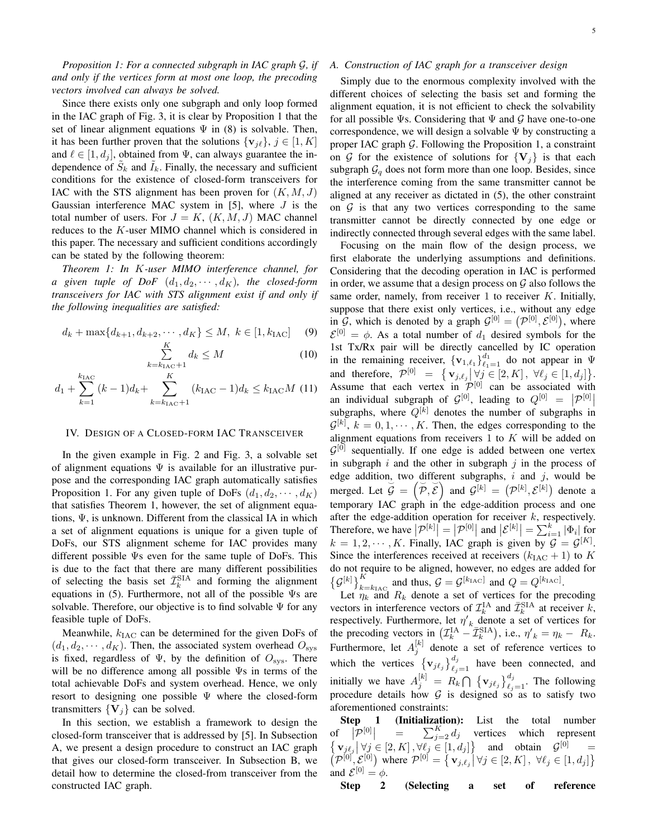*Proposition 1: For a connected subgraph in IAC graph* G*, if and only if the vertices form at most one loop, the precoding vectors involved can always be solved.*

Since there exists only one subgraph and only loop formed in the IAC graph of Fig. 3, it is clear by Proposition 1 that the set of linear alignment equations  $\Psi$  in (8) is solvable. Then, it has been further proven that the solutions  $\{v_{i\ell}\}, i \in [1, K]$ and  $\ell \in [1, d_i]$ , obtained from  $\Psi$ , can always guarantee the independence of  $\tilde{S}_k$  and  $\tilde{I}_k$ . Finally, the necessary and sufficient conditions for the existence of closed-form transceivers for IAC with the STS alignment has been proven for  $(K, M, J)$ Gaussian interference MAC system in [5], where  $J$  is the total number of users. For  $J = K$ ,  $(K, M, J)$  MAC channel reduces to the K-user MIMO channel which is considered in this paper. The necessary and sufficient conditions accordingly can be stated by the following theorem:

*Theorem 1: In* K*-user MIMO interference channel, for a* given tuple of  $DoF$   $(d_1, d_2, \dots, d_K)$ , the closed-form *transceivers for IAC with STS alignment exist if and only if the following inequalities are satisfied:*

$$
d_k + \max\{d_{k+1}, d_{k+2}, \cdots, d_K\} \le M, \ k \in [1, k_{\text{IAC}}] \tag{9}
$$

$$
\sum_{k_{\text{IAC}}+1}^{K} d_k \le M \tag{10}
$$

$$
d_1 + \sum_{k=1}^{k_{\text{IAC}}} (k-1)d_k + \sum_{k=k_{\text{IAC}}+1}^{K} (k_{\text{IAC}}-1)d_k \le k_{\text{IAC}}M \tag{11}
$$

 $k=$ 

## IV. DESIGN OF A CLOSED-FORM IAC TRANSCEIVER

In the given example in Fig. 2 and Fig. 3, a solvable set of alignment equations  $\Psi$  is available for an illustrative purpose and the corresponding IAC graph automatically satisfies Proposition 1. For any given tuple of DoFs  $(d_1, d_2, \dots, d_K)$ that satisfies Theorem 1, however, the set of alignment equations, Ψ, is unknown. Different from the classical IA in which a set of alignment equations is unique for a given tuple of DoFs, our STS alignment scheme for IAC provides many different possible Ψs even for the same tuple of DoFs. This is due to the fact that there are many different possibilities of selecting the basis set  $\bar{\mathcal{I}}_k^{\text{SIA}}$  and forming the alignment equations in (5). Furthermore, not all of the possible Ψs are solvable. Therefore, our objective is to find solvable  $\Psi$  for any feasible tuple of DoFs.

Meanwhile,  $k_{\text{IAC}}$  can be determined for the given DoFs of  $(d_1, d_2, \dots, d_K)$ . Then, the associated system overhead  $O_{\text{sys}}$ is fixed, regardless of  $\Psi$ , by the definition of  $O_{\text{sys}}$ . There will be no difference among all possible Ψs in terms of the total achievable DoFs and system overhead. Hence, we only resort to designing one possible Ψ where the closed-form transmitters  ${V<sub>j</sub>}$  can be solved.

In this section, we establish a framework to design the closed-form transceiver that is addressed by [5]. In Subsection A, we present a design procedure to construct an IAC graph that gives our closed-form transceiver. In Subsection B, we detail how to determine the closed-from transceiver from the constructed IAC graph.

# *A. Construction of IAC graph for a transceiver design*

Simply due to the enormous complexity involved with the different choices of selecting the basis set and forming the alignment equation, it is not efficient to check the solvability for all possible  $\Psi$ s. Considering that  $\Psi$  and  $\mathcal G$  have one-to-one correspondence, we will design a solvable  $\Psi$  by constructing a proper IAC graph  $G$ . Following the Proposition 1, a constraint on G for the existence of solutions for  ${V<sub>j</sub>}$  is that each subgraph  $\mathcal{G}_q$  does not form more than one loop. Besides, since the interference coming from the same transmitter cannot be aligned at any receiver as dictated in (5), the other constraint on  $G$  is that any two vertices corresponding to the same transmitter cannot be directly connected by one edge or indirectly connected through several edges with the same label.

Focusing on the main flow of the design process, we first elaborate the underlying assumptions and definitions. Considering that the decoding operation in IAC is performed in order, we assume that a design process on  $G$  also follows the same order, namely, from receiver 1 to receiver  $K$ . Initially, suppose that there exist only vertices, i.e., without any edge in G, which is denoted by a graph  $G^{[0]} = (\mathcal{P}^{[0]}, \mathcal{E}^{[0]})$ , where  $\mathcal{E}^{[0]} = \phi$ . As a total number of  $d_1$  desired symbols for the 1st Tx/Rx pair will be directly cancelled by IC operation in the remaining receiver,  $\{v_{1,\ell_1}\}_{\ell_1=1}^{d_1}$  do not appear in  $\Psi$ and therefore,  $\mathcal{P}^{[0]} = \{ \mathbf{v}_{j,\ell_j} | \forall j \in [2,K], \forall \ell_j \in [1,d_j] \}.$ Assume that each vertex in  $\mathcal{P}^{[0]}$  can be associated with an individual subgraph of  $G^{[0]}$ , leading to  $Q^{[0]} = |\mathcal{P}^{[0]}|$ subgraphs, where  $Q^{[k]}$  denotes the number of subgraphs in  $\mathcal{G}^{[k]}$ ,  $k = 0, 1, \cdots, K$ . Then, the edges corresponding to the alignment equations from receivers  $1$  to  $K$  will be added on  $\mathcal{G}^{[0]}$  sequentially. If one edge is added between one vertex in subgraph  $i$  and the other in subgraph  $j$  in the process of edge addition, two different subgraphs,  $i$  and  $j$ , would be merged. Let  $\overline{\mathcal{G}} = (\overline{\mathcal{P}}, \overline{\mathcal{E}})$  and  $\overline{\mathcal{G}}^{[k]} = (\mathcal{P}^{[k]}, \mathcal{E}^{[k]})$  denote a temporary IAC graph in the edge-addition process and one after the edge-addition operation for receiver  $k$ , respectively. Therefore, we have  $|\mathcal{P}^{[k]}| = |\mathcal{P}^{[0]}|$  and  $|\mathcal{E}^{[k]}| = \sum_{i=1}^k |\Phi_i|$  for  $k = 1, 2, \dots, K$ . Finally, IAC graph is given by  $\mathcal{G} = \mathcal{G}^{[K]}$ . Since the interferences received at receivers  $(k_{\text{IAC}} + 1)$  to K do not require to be aligned, however, no edges are added for  $\{\mathcal{G}^{[k]}\}_{k=k_{\text{IAC}}}^{K}$  and thus,  $\mathcal{G} = \mathcal{G}^{[k_{\text{IAC}}]}$  and  $Q = Q^{[k_{\text{IAC}}]}$ .

Let  $\eta_k$  and  $R_k$  denote a set of vertices for the precoding vectors in interference vectors of  $\mathcal{I}_k^{\text{IA}}$  and  $\bar{\mathcal{I}}_k^{\text{SIA}}$  at receiver  $k$ , respectively. Furthermore, let  $\eta'_{k}$  denote a set of vertices for the precoding vectors in  $(\mathcal{I}_k^{\text{IA}} - \bar{\mathcal{I}}_k^{\text{SIA}})$ , i.e.,  $\eta'_{k} = \eta_{k} - R_{k}$ . Furthermore, let  $A_j^{[k]}$  denote a set of reference vertices to which the vertices  $\{v_{j\ell_j}\}_{\ell_j=1}^{d_j}$  have been connected, and initially we have  $A_j^{[k]} = R_k \bigcap \{ \mathbf{v}_{j\ell_j} \}_{\ell_j=1}^{d_j}$ . The following procedure details how  $G$  is designed so as to satisfy two aforementioned constraints:

Step 1 (Initialization): List the total number of  $|\mathcal{P}^{[0]}|$  $\left| \right| = \sum_{j=2}^{K} d_j$  vertices which represent  $\left\{ \mathbf{v}_{j\ell_j} \middle| \forall j \in [2, K], \forall \ell_j \in [1, d_j] \right\}$  and obtain  $\mathcal{G}^{[0]}$  =  $(\mathcal{P}^{[0]}, \mathcal{E}^{[0]})$  where  $\mathcal{P}^{[0]} = {\mathbf{v}_{j,\ell_j}} \, \forall j \in [2, K]$ ,  $\forall \ell_j \in [1, d_j]$ and  $\mathcal{E}^{[0]} = \phi$ .

Step 2 (Selecting a set of reference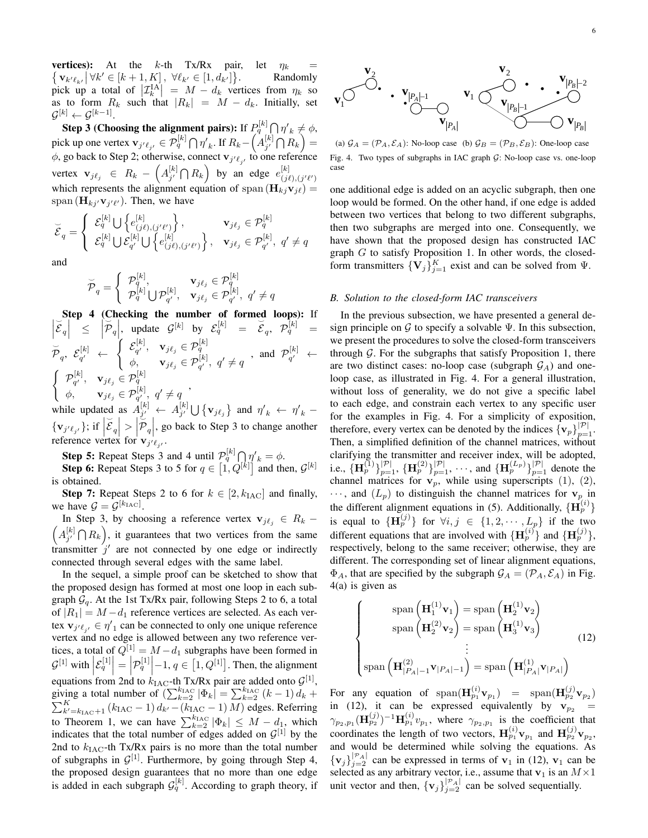vertices): At the k-th Tx/Rx pair, let  $\eta_k$  $\{ \mathbf{v}_{k'\ell_{k'}} | \forall k' \in [k+1, K], \forall \ell_{k'} \in [1, d_{k'}] \}.$  Randomly pick up a total of  $\left|\mathcal{I}_{k}^{\text{IA}}\right| = M - d_{k}$  vertices from  $\eta_{k}$  so as to form  $R_k$  such that  $|R_k| = M - d_k$ . Initially, set  $\mathcal{G}^{[k]} \leftarrow \mathcal{G}^{[k-1]}.$ 

Step 3 (Choosing the alignment pairs): If  $P_q^{[k]} \bigcap \eta'{}_k \neq \phi$ , pick up one vertex  $\mathbf{v}_{j'\ell_{j'}} \in \mathcal{P}_q^{[k]} \bigcap \eta'_{k}$ . If  $R_k- \left(A^{[k]}_{j'}\right)$  $\left[\begin{smallmatrix} [k]\ j'\end{smallmatrix}\bigcap R_k\right) =$  $\phi$ , go back to Step 2; otherwise, connect  $\mathbf{v}_{j'\ell_{j'}}$  to one reference vertex  $\mathbf{v}_{j\ell_j}$  ∈  $R_k - \left(A_{j'}^{[k]}\right)$  $\begin{bmatrix} [k] \\ j' \end{bmatrix}$   $\bigcap R_k$  by an edge  $e_{(j\ell)}^{[k]}$  $(j\ell), (j'\ell')$ which represents the alignment equation of span  $(\mathbf{H}_{kj}\mathbf{v}_{j\ell}) =$ span  $(\mathbf{H}_{kj'}\mathbf{v}_{j'\ell'})$ . Then, we have

$$
\widetilde{\mathcal{E}}_q = \begin{cases}\n\mathcal{E}_q^{[k]} \bigcup \left\{ e_{(j\ell),(j'\ell')}^{[k]} \right\}, & \mathbf{v}_{j\ell_j} \in \mathcal{P}_q^{[k]} \\
\mathcal{E}_q^{[k]} \bigcup \mathcal{E}_{q'}^{[k]} \bigcup \left\{ e_{(j\ell),(j'\ell')}^{[k]} \right\}, & \mathbf{v}_{j\ell_j} \in \mathcal{P}_{q'}^{[k]}, \ q' \neq q\n\end{cases}
$$

and

$$
\overset{\smile}{\mathcal{P}}_q = \left\{ \begin{array}{ll} \mathcal{P}_q^{[k]}, & \mathbf{v}_{j\ell_j} \in \mathcal{P}_q^{[k]} \\ \mathcal{P}_q^{[k]} \bigcup \mathcal{P}_{q'}^{[k]}, & \mathbf{v}_{j\ell_j} \in \mathcal{P}_{q'}^{[k]}, \ q' \neq q \end{array} \right.
$$

Step 4 (Checking the number of formed loops): If  $\left| \begin{matrix} \overline{\varepsilon}_q \end{matrix} \right| \begin{matrix} \overline{\varepsilon}_q \\ \overline{\varepsilon}_q \end{matrix}$ , update  $\mathcal{G}^{[k]}$  by  $\mathcal{E}_q^{[k]} = \overline{\varepsilon}_q$ ,  $\mathcal{P}_q^{[k]} =$  $\begin{array}{ccc} |\mathbb{P}^{q}| & = & | \ \widetilde{\mathcal{P}}_q, \,\, \mathcal{E}_{q'}^{[k]} & \leftarrow \end{array}$  $q' \leftarrow$  $\int \mathcal{E}_{a'}^{[k]}$  $[\begin{matrix} \mathbf{v}_i[k] \ q' \end{matrix}, \quad \mathbf{v}_j{}_{\ell_j} \in \mathcal{P}_q^{[k]}$  $\varphi_{q'}^{\tilde{G}_{q'}}, \quad \mathbf{v}_{j\ell_j} \in \varphi_{q'}^{[k]}, \ q' \neq q \quad , \text{ and } \ \varphi_{q'}^{[k]}$  $q' \leftarrow$  $\int$   $\mathcal{P}_{a'}^{[k]}$  $[\begin{matrix} k \ q' \end{matrix}], \quad \mathbf{v}_j{}_{\ell_j} \in \mathcal{P}_q^{[k]}$  $\varphi, \quad v_{j\ell_j} \in \mathcal{P}_{q'}^{[k]}, \ q' \neq q \; ,$ 

while updated as  $A_{i'}^{[k]}$  $\begin{array}{l} [k] \ j' \end{array} \leftarrow A_{j'}^{[k]}$ ed as  $A_{j'}^{[k]} \leftarrow A_{j'}^{[k]} \cup \{ \mathbf{v}_{j\ell_j} \}$  and  $\eta'_{k} \leftarrow \eta'_{k}$  $\{v_{j' \ell_{j'}}\}$ ; if  $\left|\overline{\mathcal{E}}_q\right| > \left|\overline{\mathcal{P}}_q\right|$ , go back to Step 3 to change another reference vertex for  $\mathbf{v}_{j' \ell_{j'}}$ .

**Step 5:** Repeat Steps 3 and 4 until  $\mathcal{P}_q^{[k]} \bigcap \eta'_{k} = \phi$ .

**Step 6:** Repeat Steps 3 to 5 for  $q \in [1, Q^{[k]}]$  and then,  $\mathcal{G}^{[k]}$ is obtained.

**Step 7:** Repeat Steps 2 to 6 for  $k \in [2, k_{\text{IAC}}]$  and finally, we have  $G = \mathcal{G}^{[k_{\text{IAC}}]}$ .

 $\left(A_{i'}^{[k]}\right)$ In Step 3, by choosing a reference vertex  $\mathbf{v}_{j\ell_j} \in R_k$  –  $\left[\begin{smallmatrix} [k] \ i' \end{smallmatrix}\right]$   $\cap$   $R_k$ ), it guarantees that two vertices from the same transmitter  $j'$  are not connected by one edge or indirectly connected through several edges with the same label.

In the sequel, a simple proof can be sketched to show that the proposed design has formed at most one loop in each subgraph  $\mathcal{G}_q$ . At the 1st Tx/Rx pair, following Steps 2 to 6, a total of  $|R_1| = M - d_1$  reference vertices are selected. As each vertex  $\mathbf{v}_{j'\ell_{j'}} \in \eta'_{1}$  can be connected to only one unique reference vertex and no edge is allowed between any two reference vertices, a total of  $Q^{[1]} = M - d_1$  subgraphs have been formed in  $\mathcal{G}^{[1]}$  with  $\left|\mathcal{E}_q^{[1]} \right| = \left|\mathcal{P}_q^{[1]} \right| - 1, q \in [1, Q^{[1]}].$  Then, the alignment equations from 2nd to  $k_{\text{IAC}}$ -th Tx/Rx pair are added onto  $\mathcal{G}^{[1]}$ , giving a total number of  $\left(\sum_{k=2}^{k_{\text{IAC}}} |\Phi_k\right) = \sum_{k=2}^{k_{\text{IAC}}} (k-1) d_k +$  $\sum_{k'=k_{\text{IAC}}+1}^{K} (k_{\text{IAC}}-1) d_{k'} - (k_{\text{IAC}}-1) M$ ) edges. Referring to Theorem 1, we can have  $\sum_{k=2}^{k_{\text{IAC}}} |\Phi_k| \leq M - d_1$ , which indicates that the total number of edges added on  $\mathcal{G}^{[1]}$  by the 2nd to  $k_{\text{IAC}}$ -th Tx/Rx pairs is no more than the total number of subgraphs in  $G^{[1]}$ . Furthermore, by going through Step 4, the proposed design guarantees that no more than one edge is added in each subgraph  $G_q^{[k]}$ . According to graph theory, if



(a)  $\mathcal{G}_A = (\mathcal{P}_A, \mathcal{E}_A)$ : No-loop case (b)  $\mathcal{G}_B = (\mathcal{P}_B, \mathcal{E}_B)$ : One-loop case Fig. 4. Two types of subgraphs in IAC graph G: No-loop case vs. one-loop case

one additional edge is added on an acyclic subgraph, then one loop would be formed. On the other hand, if one edge is added between two vertices that belong to two different subgraphs, then two subgraphs are merged into one. Consequently, we have shown that the proposed design has constructed IAC graph  $G$  to satisfy Proposition 1. In other words, the closedform transmitters  ${V_j}_{j=1}^K$  exist and can be solved from  $\Psi$ .

### *B. Solution to the closed-form IAC transceivers*

In the previous subsection, we have presented a general design principle on  $G$  to specify a solvable  $\Psi$ . In this subsection, we present the procedures to solve the closed-form transceivers through  $G$ . For the subgraphs that satisfy Proposition 1, there are two distinct cases: no-loop case (subgraph  $\mathcal{G}_A$ ) and oneloop case, as illustrated in Fig. 4. For a general illustration, without loss of generality, we do not give a specific label to each edge, and constrain each vertex to any specific user for the examples in Fig. 4. For a simplicity of exposition, therefore, every vertex can be denoted by the indices  $\{v_p\}_{p=1}^{|\mathcal{P}|}$ . Then, a simplified definition of the channel matrices, without clarifying the transmitter and receiver index, will be adopted, i.e.,  ${\{\mathbf{H}_{p}^{(1)}\}}_{p=1}^{|\mathcal{P}|}$ ,  ${\{\mathbf{H}_{p}^{(2)}\}}_{p=1}^{|\mathcal{P}|}$ , ..., and  ${\{\mathbf{H}_{p}^{(L_p)}\}}_{p=1}^{|\mathcal{P}|}$  denote the channel matrices for  $v_p$ , while using superscripts (1), (2),  $\cdots$ , and  $(L_p)$  to distinguish the channel matrices for  $\mathbf{v}_{p}$  in the different alignment equations in (5). Additionally,  $\{\hat{H}_p^{(i)}\}$ is equal to  $\{\mathbf{H}_{p}^{(j)}\}$  for  $\forall i, j \in \{1, 2, \cdots, L_{p}\}$  if the two different equations that are involved with  $\{\mathbf{H}_{p}^{(i)}\}$  and  $\{\mathbf{H}_{p}^{(j)}\}$ , respectively, belong to the same receiver; otherwise, they are different. The corresponding set of linear alignment equations,  $\Phi_A$ , that are specified by the subgraph  $\mathcal{G}_A = (\mathcal{P}_A, \mathcal{E}_A)$  in Fig. 4(a) is given as

$$
\begin{cases}\n\text{span}\left(\mathbf{H}_1^{(1)}\mathbf{v}_1\right) = \text{span}\left(\mathbf{H}_2^{(1)}\mathbf{v}_2\right) \\
\text{span}\left(\mathbf{H}_2^{(2)}\mathbf{v}_2\right) = \text{span}\left(\mathbf{H}_3^{(1)}\mathbf{v}_3\right) \\
\vdots \\
\text{span}\left(\mathbf{H}_{|P_A|-1}^{(2)}\mathbf{v}_{|P_A|-1}\right) = \text{span}\left(\mathbf{H}_{|P_A|}^{(1)}\mathbf{v}_{|P_A|}\right)\n\end{cases}\n\tag{12}
$$

For any equation of  $\text{span}(\mathbf{H}_{p_1}^{(i)}\mathbf{v}_{p_1}) = \text{span}(\mathbf{H}_{p_2}^{(j)}\mathbf{v}_{p_2})$ in (12), it can be expressed equivalently by  $\mathbf{v}_{p_2} =$  $\gamma_{p_2,p_1}(\mathbf{H}_{p_2}^{(j)})^{-1}\mathbf{H}_{p_1}^{(i)}v_{p_1}$ , where  $\gamma_{p_2,p_1}$  is the coefficient that coordinates the length of two vectors,  $\mathbf{H}_{p_1}^{(i)}\mathbf{v}_{p_1}$  and  $\mathbf{H}_{p_2}^{(j)}\mathbf{v}_{p_2}$ , and would be determined while solving the equations. As  $\{v_j\}_{j=2}^{|\mathcal{P}_A|}$  can be expressed in terms of  $v_1$  in (12),  $v_1$  can be selected as any arbitrary vector, i.e., assume that  $v_1$  is an  $M \times 1$ unit vector and then,  ${v_j}_{j=2}^{|\mathcal{P}_A|}$  can be solved sequentially.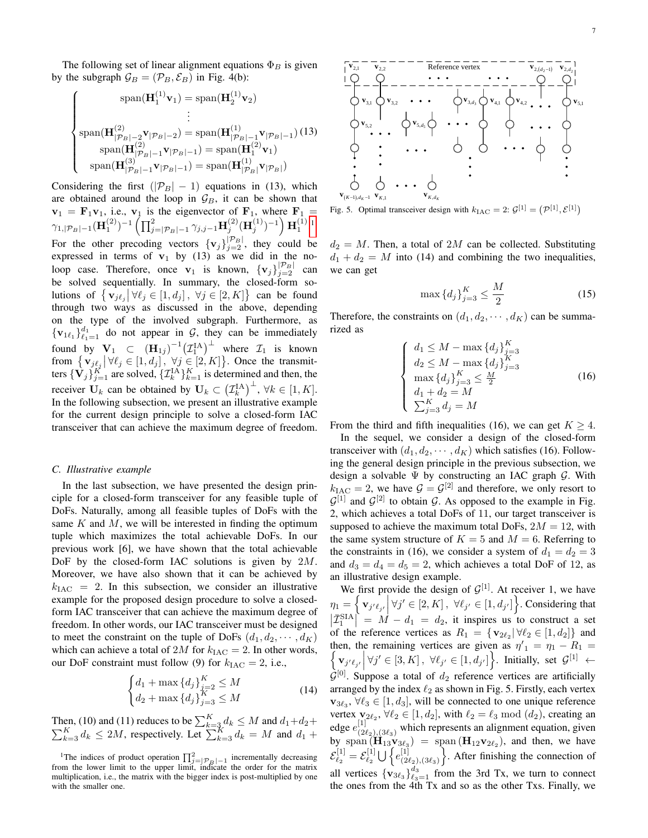The following set of linear alignment equations  $\Phi_B$  is given by the subgraph  $\mathcal{G}_B = (\mathcal{P}_B, \mathcal{E}_B)$  in Fig. 4(b):

$$
\begin{cases}\n\text{span}(\mathbf{H}_{1}^{(1)}\mathbf{v}_{1}) = \text{span}(\mathbf{H}_{2}^{(1)}\mathbf{v}_{2}) \\
\vdots \\
\text{span}(\mathbf{H}_{|\mathcal{P}_{B}|-2}^{(2)}\mathbf{v}_{|\mathcal{P}_{B}|-2}) = \text{span}(\mathbf{H}_{|\mathcal{P}_{B}|-1}^{(1)}\mathbf{v}_{|\mathcal{P}_{B}|-1})(13) \\
\text{span}(\mathbf{H}_{|\mathcal{P}_{B}|-1}^{(2)}\mathbf{v}_{|\mathcal{P}_{B}|-1}) = \text{span}(\mathbf{H}_{1}^{(2)}\mathbf{v}_{1}) \\
\text{span}(\mathbf{H}_{|\mathcal{P}_{B}|-1}^{(3)}\mathbf{v}_{|\mathcal{P}_{B}|-1}) = \text{span}(\mathbf{H}_{|\mathcal{P}_{B}|}^{(1)}\mathbf{v}_{|\mathcal{P}_{B}|})\n\end{cases}
$$

Considering the first  $(|P_B| - 1)$  equations in (13), which are obtained around the loop in  $\mathcal{G}_B$ , it can be shown that  $v_1 = F_1v_1$ , i.e.,  $v_1$  is the eigenvector of  $F_1$ , where  $F_1$  =  $\gamma_{1,|\mathcal{P}_B|-1}(\mathbf{H}_1^{(2)})^{-1}\left(\prod_{j=|\mathcal{P}_B|-1}^2\gamma_{j,j-1}\mathbf{H}_j^{(2)}(\mathbf{H}_j^{(1)})^{-1}\right)\mathbf{H}_1^{(1)}$  $\gamma_{1,|\mathcal{P}_B|-1}(\mathbf{H}_1^{(2)})^{-1}\left(\prod_{j=|\mathcal{P}_B|-1}^2\gamma_{j,j-1}\mathbf{H}_j^{(2)}(\mathbf{H}_j^{(1)})^{-1}\right)\mathbf{H}_1^{(1)}$  $\gamma_{1,|\mathcal{P}_B|-1}(\mathbf{H}_1^{(2)})^{-1}\left(\prod_{j=|\mathcal{P}_B|-1}^2\gamma_{j,j-1}\mathbf{H}_j^{(2)}(\mathbf{H}_j^{(1)})^{-1}\right)\mathbf{H}_1^{(1)}$ . For the other precoding vectors  $\{v_j\}_{j=2}^{|\mathcal{P}_B|}$ , they could be expressed in terms of  $v_1$  by (13) as we did in the noloop case. Therefore, once  $\mathbf{v}_1$  is known,  ${\{\mathbf{v}_j\}}_{j=2}^{|\mathcal{P}_B|}$  can be solved sequentially. In summary, the closed-form solutions of  $\{ \mathbf{v}_{j\ell_j} | \forall \ell_j \in [1, d_j], \forall j \in [2, K] \}$  can be found through two ways as discussed in the above, depending on the type of the involved subgraph. Furthermore, as  $\{v_{1\ell_1}\}_{\ell_1=1}^{d_1}$  do not appear in  $G$ , they can be immediately found by  $V_1 \subset (H_{1j})^{-1} (I_1^{IA})^{\perp}$  where  $\mathcal{I}_1$  is known from  $\{ \mathbf{v}_{j\ell_j} | \forall \ell_j \in [1, d_j], \forall j \in [2, K] \}$ . Once the transmitters  $\{ \hat{\mathbf{V}}_j \}_{j=1}^K$  are solved,  $\{ \mathcal{I}_k^{\text{IA}} \}_{k=1}^K$  is determined and then, the receiver  $\mathbf{U}_k$  can be obtained by  $\mathbf{U}_k \subset \left(\mathcal{I}_k^{\text{IA}}\right)^{\perp}, \forall k \in [1, K].$ In the following subsection, we present an illustrative example for the current design principle to solve a closed-form IAC transceiver that can achieve the maximum degree of freedom.

## *C. Illustrative example*

In the last subsection, we have presented the design principle for a closed-form transceiver for any feasible tuple of DoFs. Naturally, among all feasible tuples of DoFs with the same  $K$  and  $M$ , we will be interested in finding the optimum tuple which maximizes the total achievable DoFs. In our previous work [6], we have shown that the total achievable DoF by the closed-form IAC solutions is given by 2M. Moreover, we have also shown that it can be achieved by  $k_{\text{IAC}} = 2$ . In this subsection, we consider an illustrative example for the proposed design procedure to solve a closedform IAC transceiver that can achieve the maximum degree of freedom. In other words, our IAC transceiver must be designed to meet the constraint on the tuple of DoFs  $(d_1, d_2, \dots, d_K)$ which can achieve a total of 2M for  $k_{\text{IAC}} = 2$ . In other words, our DoF constraint must follow (9) for  $k_{IAC} = 2$ , i.e.,

$$
\begin{cases} d_1 + \max\{d_j\}_{j=2}^K \le M \\ d_2 + \max\{d_j\}_{j=3}^K \le M \end{cases}
$$
 (14)

Then, (10) and (11) reduces to be  $\sum_{k=3}^{K} d_k \leq M$  and  $d_1+d_2+$  $\sum_{k=3}^{K} d_k \le 2M$ , respectively. Let  $\sum_{k=3}^{K} d_k = M$  and  $d_1 +$ 



Fig. 5. Optimal transceiver design with  $k_{\text{IAC}} = 2$ :  $\mathcal{G}^{[1]} = (\mathcal{P}^{[1]}, \mathcal{E}^{[1]})$ 

 $d_2 = M$ . Then, a total of 2M can be collected. Substituting  $d_1 + d_2 = M$  into (14) and combining the two inequalities, we can get

$$
\max\left\{d_j\right\}_{j=3}^K \le \frac{M}{2} \tag{15}
$$

Therefore, the constraints on  $(d_1, d_2, \dots, d_K)$  can be summarized as

$$
\begin{cases}\n d_1 \leq M - \max \{d_j\}_{j=3}^{K} \\
 d_2 \leq M - \max \{d_j\}_{j=3}^{K} \\
 \max \{d_j\}_{j=3}^{K} \leq \frac{M}{2} \\
 d_1 + d_2 = M \\
 \sum_{j=3}^{K} d_j = M\n\end{cases}
$$
\n(16)

From the third and fifth inequalities (16), we can get  $K \geq 4$ .

In the sequel, we consider a design of the closed-form transceiver with  $(d_1, d_2, \dots, d_K)$  which satisfies (16). Following the general design principle in the previous subsection, we design a solvable  $\Psi$  by constructing an IAC graph  $G$ . With  $k_{\text{IAC}} = 2$ , we have  $\mathcal{G} = \mathcal{G}^{[2]}$  and therefore, we only resort to  $\mathcal{G}^{[1]}$  and  $\mathcal{G}^{[2]}$  to obtain  $\mathcal{G}$ . As opposed to the example in Fig. 2, which achieves a total DoFs of 11, our target transceiver is supposed to achieve the maximum total DoFs,  $2M = 12$ , with the same system structure of  $K = 5$  and  $M = 6$ . Referring to the constraints in (16), we consider a system of  $d_1 = d_2 = 3$ and  $d_3 = d_4 = d_5 = 2$ , which achieves a total DoF of 12, as an illustrative design example.

We first provide the design of  $G^{[1]}$ . At receiver 1, we have  $\eta_1 = \left\{ \mathbf{v}_{j'\ell_{j'}} \middle| \forall j' \in [2, K] \right., \forall \ell_{j'} \in [1, d_{j'}] \right\}.$  Considering that  $|\bar{\mathcal{I}}_1^{\text{SIA}}| = M - d_1 = d_2$ , it inspires us to construct a set of the reference vertices as  $R_1 = \{ \mathbf{v}_{2\ell_2} | \forall \ell_2 \in [1, d_2] \}$  and then, the remaining vertices are given as  $\eta'_1 = \eta_1 - R_1 =$ <br>  $\begin{cases} \nabla u \cdot e & | \forall i' \in [3, K] \\ \nabla u & | \forall i' \in [3, K] \n\end{cases}$  $\mathbf{v}_{j'\ell_{j'}} \Big| \forall j' \in [3, K], \ \forall \ell_{j'} \in [1, d_{j'}] \Big\}.$  Initially, set  $\mathcal{G}^{[1]} \leftarrow$  $\mathcal{G}^{[0]}$ . Suppose a total of  $d_2$  reference vertices are artificially arranged by the index  $\ell_2$  as shown in Fig. 5. Firstly, each vertex  $\mathbf{v}_{3\ell_3}, \forall \ell_3 \in [1, d_3]$ , will be connected to one unique reference vertex  $\mathbf{v}_{2\ell_2}, \forall \ell_2 \in [1, d_2]$ , with  $\ell_2 = \ell_3 \mod (d_2)$ , creating an edge  $e_{(2\ell_2),(3\ell_3)}^{[1]}$  which represents an alignment equation, given by span  $(\mathbf{H}_{13}\mathbf{v}_{3\ell_3}) = \text{span}(\mathbf{H}_{12}\mathbf{v}_{2\ell_2})$ , and then, we have  $\mathcal{E}^{[1]}_{\ell_{\alpha}}$  $\ell_2^{[1]}={\cal E}^{[1]}_{\ell_2}$  $e^{[1]}_{\ell_2} \bigcup \left\{ e^{[1]}_{(2\ell)} \right\}$  $\begin{bmatrix} 1 \ 2\ell_2 \end{bmatrix}$ ,  $(3\ell_3)$ . After finishing the connection of all vertices  ${\mathbf v}_{3\ell_3} \}_{\ell_3=1}^{d_3}$  from the 3rd Tx, we turn to connect the ones from the 4th Tx and so as the other Txs. Finally, we

<span id="page-6-0"></span><sup>&</sup>lt;sup>1</sup>The indices of product operation  $\prod_{j=|\mathcal{P}_B|-1}^2$  incrementally decreasing from the lower limit to the upper limit, indicate the order for the matrix multiplication, i.e., the matrix with the bigger index is post-multiplied by one with the smaller one.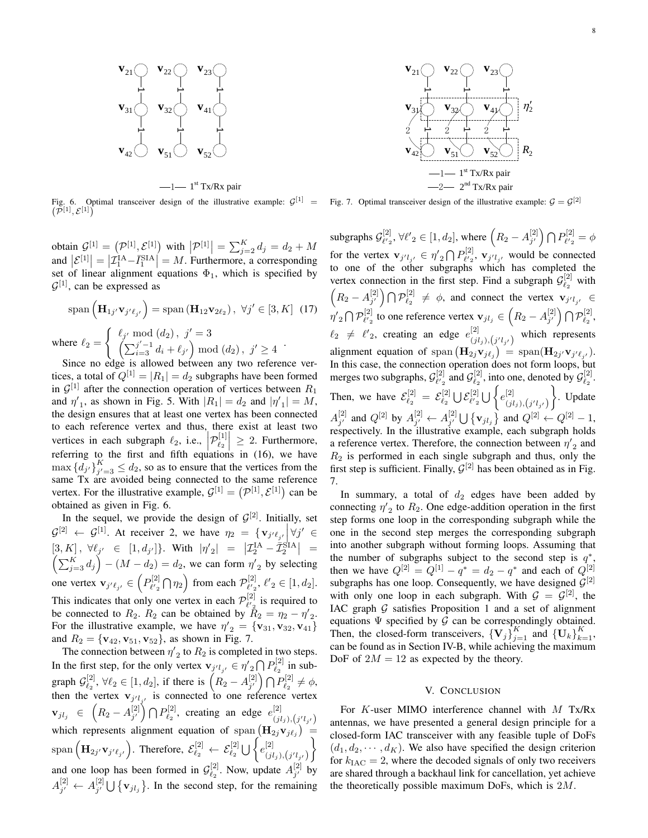

## $1 - 1$ <sup>st</sup> Tx/Rx pair

Fig. 6. Optimal transceiver design of the illustrative example: G  $\overline{(}$  $\begin{bmatrix} 1 \end{bmatrix} =$  $\tilde{\mathcal{P}}^{[1]}, \mathcal{E}^{[1]})$ 

obtain  $\mathcal{G}^{[1]} = (\mathcal{P}^{[1]}, \mathcal{E}^{[1]})$  with  $|\mathcal{P}^{[1]}| = \sum_{j=2}^{K} d_j = d_2 + M$ and  $\left|\mathcal{E}^{[1]} \right| = \left|\mathcal{I}_1^{\text{IA}} - \bar{I}_1^{\text{SIA}} \right| = M$ . Furthermore, a corresponding set of linear alignment equations  $\Phi_1$ , which is specified by  $\mathcal{G}^{[1]}$ , can be expressed as

$$
\text{span}\left(\mathbf{H}_{1j'}\mathbf{v}_{j'\ell_{j'}}\right) = \text{span}\left(\mathbf{H}_{12}\mathbf{v}_{2\ell_2}\right), \ \forall j' \in [3, K] \tag{17}
$$
\n
$$
\left\{\n\begin{array}{l}\n\ell_{j'} \bmod (d_2), \ j' = 3\n\end{array}\n\right.
$$

where  $\ell_2 =$  $\left(\sum_{i=3}^{j'-1} d_i + \ell_{j'}\right) \mod (d_2), \ j' \geq 4$ 

Since no edge is allowed between any two reference vertices, a total of  $Q^{[1]} = |R_1| = d_2$  subgraphs have been formed in  $\mathcal{G}^{[1]}$  after the connection operation of vertices between  $R_1$ and  $\eta'_{1}$ , as shown in Fig. 5. With  $|R_{1}| = d_{2}$  and  $|\eta'_{1}| = M$ , the design ensures that at least one vertex has been connected to each reference vertex and thus, there exist at least two vertices in each subgraph  $\ell_2$ , i.e.,  $\mathcal{P}^{[1]}_{\ell_2}$  $\begin{vmatrix} 1 & 1 \\ 2 & 2 \end{vmatrix} \geq 2$ . Furthermore, referring to the first and fifth equations in (16), we have  $\max\{\tilde{d}_{j'}\}_{i'}^{K}$  $j'=3 \leq d_2$ , so as to ensure that the vertices from the same Tx are avoided being connected to the same reference vertex. For the illustrative example,  $G^{[1]} = (\mathcal{P}^{[1]}, \mathcal{E}^{[1]})$  can be obtained as given in Fig. 6.

In the sequel, we provide the design of  $\mathcal{G}^{[2]}$ . Initially, set  $\mathcal{G}^{[2]} \leftarrow \mathcal{G}^{[1]}$ . At receiver 2, we have  $\eta_2 = {\mathbf{v}_{j'\ell_{j'}}} \middle| \forall j' \in$  $[3, K]$ ,  $\forall \ell_{j'} \in [1, d_{j'}]$ . With  $|\eta'_{2}| = |\mathcal{I}_{2}^{IA} - \bar{\mathcal{I}}_{2}^{SIA}| =$ <br> $(\sum_{j=3}^{K} d_{j}) - (M - d_{2}) = d_{2}$ , we can form  $\eta'_{2}$  by selecting one vertex  $\mathbf{v}_{j'\ell_{j'}} \in \left( P_{\ell'_{2}}^{[2]} \right)$  $\mathcal{P}^{[2]}_{\ell'_{2}} \bigcap \eta_{2}$  from each  $\mathcal{P}^{[2]}_{\ell'_{2}}$  $\ell_{2}^{[2]}, \ell_{2}' \in [1, d_2].$ This indicates that only one vertex in each  $\mathcal{P}_{\ell_{\alpha}}^{[2]}$  $\frac{\partial^{12}}{\partial^{2}}$  is required to be connected to  $R_2$ .  $R_2$  can be obtained by  $R_2 = \eta_2 - \eta'_2$ . For the illustrative example, we have  $\eta'_{2} = {\mathbf{v}_{31}, \mathbf{v}_{32}, \mathbf{v}_{41}}$ and  $R_2 = {\mathbf{v}_{42}, \mathbf{v}_{51}, \mathbf{v}_{52}}$ , as shown in Fig. 7.

The connection between  $\eta'_{2}$  to  $R_{2}$  is completed in two steps. In the first step, for the only vertex  $\mathbf{v}_{j'l_{j'}} \in \eta'_{2} \bigcap P_{\ell_2}^{[2]}$  $\ell_2^{[2]}$  in subgraph  $\mathcal{G}_{\ell_0}^{[2]}$  $\ell_2^{[2]}$ , ∀ $\ell_2$  ∈ [1, d<sub>2</sub>], if there is  $(R_2 - A_{j'}^{[2]})$  $j' \choose j' \bigcap P^{[2]}_{\ell_2}$  $\ell_2^{[2]} \neq \phi$ , then the vertex  $\mathbf{v}_{j'l_{j'}}$  is connected to one reference vertex  ${\bf v}_{jl_j} \;\; \in \;\; \left( R_2 - A_{j'}^{[2]} \right)$  $\binom{[2]}{j'}\bigcap P_{\ell_2}^{[2]}$  $e^{[2]}_{\ell_2}$ , creating an edge  $e^{[2]}_{(i)}$  $(jl_j), (j'l_{j'})$ which represents alignment equation of span  $(\mathbf{H}_{2j}\mathbf{v}_{j\ell_j})$  = span  $\left(\mathbf{H}_{2j'}\mathbf{v}_{j'\ell_{j'}}\right)$ . Therefore,  $\mathcal{E}^{[2]}_{\ell_2} \leftarrow \mathcal{E}^{[2]}_{\ell_2} \bigcup \left\{e^{[2]}_{(jl)}\right\}$  $(jl_j), (j'l_{j'})$ <u>)</u> and one loop has been formed in  $\mathcal{G}^{[2]}_{\ell_{\infty}}$  $\begin{bmatrix} [2] \\ \ell_2 \end{bmatrix}$ . Now, update  $A_{j'}^{[2]}$  $j'$  by  $A_{i'}^{[2]}$  $a_{j'}^{[2]} \leftarrow A_{j'}^{[2]}$  $\mathcal{L}_{j}^{[2]} \bigcup {\mathbf{v}_{jl}}_{j}$ . In the second step, for the remaining



Fig. 7. Optimal transceiver design of the illustrative example:  $G = \mathcal{G}^{[2]}$ 

subgraphs  $\mathcal{G}^{[2]}_{\ell's}$  $\mathcal{L}^{[2]}_{\ell'_{2}}, \forall \ell'_{2} \in [1, d_{2}],$  where  $\left(R_{2} - A_{j'}^{[2]}\right)$  $\binom{[2]}{j'}\bigcap P_{\ell'_{2}}^{[2]}$  $\ell_{\ell' 2}^{\mathsf{L}^{[2]}} = \phi$ for the vertex  $\mathbf{v}_{j'l_{j'}} \in \eta'_{2} \bigcap P^{[2]}_{\ell'_{2}}$  $\mathbf{v}_{i'2}^{[2]}$ ,  $\mathbf{v}_{j'l_{j'}}$  would be connected to one of the other subgraphs which has completed the vertex connection in the first step. Find a subgraph  $\mathcal{G}^{[2]}_{\ell_{\infty}}$  $\frac{1}{\ell_2}^{\lfloor 2 \rfloor}$  with  $\left(R_2 - A_{i'}^{[2]}\right)$  $\mathcal{P}^{[2]}_{j'}\Big) \bigcap \mathcal{P}^{[2]}_{\ell_2}$  $\ell_2^{[2]} \neq \phi$ , and connect the vertex  $\mathbf{v}_{j'l_{j'}} \in$  ${\eta'}_2\bigcap {\cal P}^{[2]}_{\ell'{}_2}$  $\frac{[2]}{\ell^\prime{}_2}$  to one reference vertex  ${\bf v}_{jl_j} \in \left( R_2 - A_{j^\prime}^{[2]} \right)$  $\mathcal{P}^{[2]}_{j'}\Big) \bigcap \mathcal{P}^{[2]}_{\ell_2}$  $\frac{\ell_2}{\ell_2}$  $\ell_2 \neq \ell'_2$ , creating an edge  $e_{\ell}^{[2]}$  $\lim_{(jl_j),(j'l_{j'})}$  which represents alignment equation of span  $(\mathbf{H}_{2j} \mathbf{v}_{j\ell_j}) = \text{span}(\mathbf{H}_{2j'} \mathbf{v}_{j'\ell_{j'}})$ . In this case, the connection operation does not form loops, but merges two subgraphs,  $\mathcal{G}^{[2]}_{\ell_2}$  $\begin{bmatrix} 2 \\ \ell'_{2} \end{bmatrix}$  and  $\mathcal{G}^{[2]}_{\ell_2}$ 2  $\ell_2^{[2]}$ , into one, denoted by  $\mathcal{G}_{\ell_2}^{[2]}$  $\frac{\ell^2}{\ell_2}$  . Then, we have  $\mathcal{E}^{[2]}_{\ell_2}$  $\; \; \; \epsilon^{[2]}_{\ell_2} \; = \; \mathcal{E}^{[2]}_{\ell_2} \;$  $\mathcal{E}^{[2]}_{\ell_2} \bigcup \mathcal{E}^{[2]}_{\ell'{}_2}$  $e_{i_2}^{[2]}$  U  $\Big\{e_{(i)}^{[2]}$  $(jl_j), (j'l_{j'})$  . Update  $A_{i'}^{[2]}$  $j'$  and  $Q^{[2]}$  by  $A_{j'}^{[2]}$  $j' \leftarrow A_{j'}^{[2]}$  $Q^{[2]} \cup \{ \mathbf{v}_{jl_j} \}$  and  $Q^{[2]} \leftarrow Q^{[2]} - 1$ , respectively. In the illustrative example, each subgraph holds a reference vertex. Therefore, the connection between  $\eta'_{2}$  and  $R_2$  is performed in each single subgraph and thus, only the first step is sufficient. Finally,  $G^{[2]}$  has been obtained as in Fig. 7.

In summary, a total of  $d_2$  edges have been added by connecting  $\eta'_{2}$  to  $R_{2}$ . One edge-addition operation in the first step forms one loop in the corresponding subgraph while the one in the second step merges the corresponding subgraph into another subgraph without forming loops. Assuming that the number of subgraphs subject to the second step is  $q^*$ , then we have  $Q^{[2]} = Q^{[1]} - q^* = d_2 - q^*$  and each of  $Q^{[2]}$ subgraphs has one loop. Consequently, we have designed  $\mathcal{G}^{[2]}$ with only one loop in each subgraph. With  $G = \mathcal{G}^{[2]}$ , the IAC graph  $G$  satisfies Proposition 1 and a set of alignment equations  $\Psi$  specified by  $G$  can be correspondingly obtained. Then, the closed-form transceivers,  ${V_j}_{j=1}^K$  and  ${U_k}_{k=1}^K$ , can be found as in Section IV-B, while achieving the maximum DoF of  $2M = 12$  as expected by the theory.

#### V. CONCLUSION

For K-user MIMO interference channel with M Tx/Rx antennas, we have presented a general design principle for a closed-form IAC transceiver with any feasible tuple of DoFs  $(d_1, d_2, \dots, d_K)$ . We also have specified the design criterion for  $k_{\text{IAC}} = 2$ , where the decoded signals of only two receivers are shared through a backhaul link for cancellation, yet achieve the theoretically possible maximum DoFs, which is 2M.